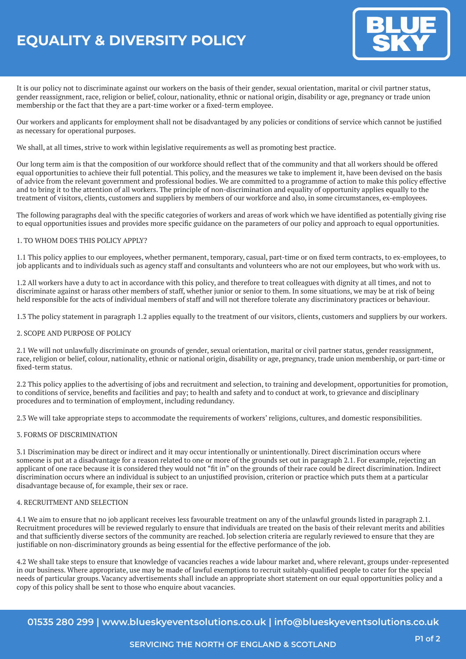# **EQUALITY & DIVERSITY POLICY**



It is our policy not to discriminate against our workers on the basis of their gender, sexual orientation, marital or civil partner status, gender reassignment, race, religion or belief, colour, nationality, ethnic or national origin, disability or age, pregnancy or trade union membership or the fact that they are a part-time worker or a fixed-term employee.

Our workers and applicants for employment shall not be disadvantaged by any policies or conditions of service which cannot be justified as necessary for operational purposes.

We shall, at all times, strive to work within legislative requirements as well as promoting best practice.

Our long term aim is that the composition of our workforce should reflect that of the community and that all workers should be offered equal opportunities to achieve their full potential. This policy, and the measures we take to implement it, have been devised on the basis of advice from the relevant government and professional bodies. We are committed to a programme of action to make this policy effective and to bring it to the attention of all workers. The principle of non-discrimination and equality of opportunity applies equally to the treatment of visitors, clients, customers and suppliers by members of our workforce and also, in some circumstances, ex-employees.

The following paragraphs deal with the specific categories of workers and areas of work which we have identified as potentially giving rise to equal opportunities issues and provides more specific guidance on the parameters of our policy and approach to equal opportunities.

# 1. TO WHOM DOES THIS POLICY APPLY?

1.1 This policy applies to our employees, whether permanent, temporary, casual, part-time or on fixed term contracts, to ex-employees, to job applicants and to individuals such as agency staff and consultants and volunteers who are not our employees, but who work with us.

1.2 All workers have a duty to act in accordance with this policy, and therefore to treat colleagues with dignity at all times, and not to discriminate against or harass other members of staff, whether junior or senior to them. In some situations, we may be at risk of being held responsible for the acts of individual members of staff and will not therefore tolerate any discriminatory practices or behaviour.

1.3 The policy statement in paragraph 1.2 applies equally to the treatment of our visitors, clients, customers and suppliers by our workers.

## 2. SCOPE AND PURPOSE OF POLICY

2.1 We will not unlawfully discriminate on grounds of gender, sexual orientation, marital or civil partner status, gender reassignment, race, religion or belief, colour, nationality, ethnic or national origin, disability or age, pregnancy, trade union membership, or part-time or fixed-term status.

2.2 This policy applies to the advertising of jobs and recruitment and selection, to training and development, opportunities for promotion, to conditions of service, benefits and facilities and pay; to health and safety and to conduct at work, to grievance and disciplinary procedures and to termination of employment, including redundancy.

2.3 We will take appropriate steps to accommodate the requirements of workers' religions, cultures, and domestic responsibilities.

## 3. FORMS OF DISCRIMINATION

3.1 Discrimination may be direct or indirect and it may occur intentionally or unintentionally. Direct discrimination occurs where someone is put at a disadvantage for a reason related to one or more of the grounds set out in paragraph 2.1. For example, rejecting an applicant of one race because it is considered they would not "fit in" on the grounds of their race could be direct discrimination. Indirect discrimination occurs where an individual is subject to an unjustified provision, criterion or practice which puts them at a particular disadvantage because of, for example, their sex or race.

#### 4. RECRUITMENT AND SELECTION

4.1 We aim to ensure that no job applicant receives less favourable treatment on any of the unlawful grounds listed in paragraph 2.1. Recruitment procedures will be reviewed regularly to ensure that individuals are treated on the basis of their relevant merits and abilities and that sufficiently diverse sectors of the community are reached. Job selection criteria are regularly reviewed to ensure that they are justifiable on non-discriminatory grounds as being essential for the effective performance of the job.

4.2 We shall take steps to ensure that knowledge of vacancies reaches a wide labour market and, where relevant, groups under-represented in our business. Where appropriate, use may be made of lawful exemptions to recruit suitably-qualified people to cater for the special needs of particular groups. Vacancy advertisements shall include an appropriate short statement on our equal opportunities policy and a copy of this policy shall be sent to those who enquire about vacancies.

**01535 280 299 | www.blueskyeventsolutions.co.uk | info@blueskyeventsolutions.co.uk**